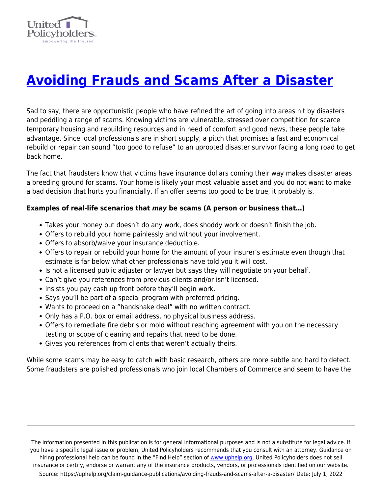

## **[Avoiding Frauds and Scams After a Disaster](https://uphelp.org/claim-guidance-publications/avoiding-frauds-and-scams-after-a-disaster/)**

Sad to say, there are opportunistic people who have refined the art of going into areas hit by disasters and peddling a range of scams. Knowing victims are vulnerable, stressed over competition for scarce temporary housing and rebuilding resources and in need of comfort and good news, these people take advantage. Since local professionals are in short supply, a pitch that promises a fast and economical rebuild or repair can sound "too good to refuse" to an uprooted disaster survivor facing a long road to get back home.

The fact that fraudsters know that victims have insurance dollars coming their way makes disaster areas a breeding ground for scams. Your home is likely your most valuable asset and you do not want to make a bad decision that hurts you financially. If an offer seems too good to be true, it probably is.

## **Examples of real-life scenarios that** *may* **be scams (A person or business that…)**

- Takes your money but doesn't do any work, does shoddy work or doesn't finish the job.
- Offers to rebuild your home painlessly and without your involvement.
- Offers to absorb/waive your insurance deductible.
- Offers to repair or rebuild your home for the amount of your insurer's estimate even though that estimate is far below what other professionals have told you it will cost.
- Is not a licensed public adjuster or lawyer but says they will negotiate on your behalf.
- Can't give you references from previous clients and/or isn't licensed.
- Insists you pay cash up front before they'll begin work.
- Says you'll be part of a special program with preferred pricing.
- Wants to proceed on a "handshake deal" with no written contract.
- Only has a P.O. box or email address, no physical business address.
- Offers to remediate fire debris or mold without reaching agreement with you on the necessary testing or scope of cleaning and repairs that need to be done.
- Gives you references from clients that weren't actually theirs.

While some scams may be easy to catch with basic research, others are more subtle and hard to detect. Some fraudsters are polished professionals who join local Chambers of Commerce and seem to have the

The information presented in this publication is for general informational purposes and is not a substitute for legal advice. If you have a specific legal issue or problem, United Policyholders recommends that you consult with an attorney. Guidance on hiring professional help can be found in the "Find Help" section of [www.uphelp.org.](http://www.uphelp.org/) United Policyholders does not sell insurance or certify, endorse or warrant any of the insurance products, vendors, or professionals identified on our website. Source: https://uphelp.org/claim-guidance-publications/avoiding-frauds-and-scams-after-a-disaster/ Date: July 1, 2022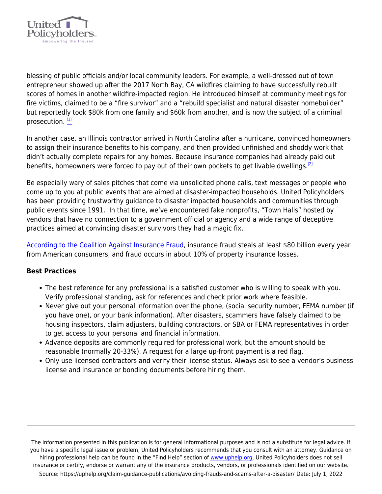

blessing of public officials and/or local community leaders. For example, a well-dressed out of town entrepreneur showed up after the 2017 North Bay, CA wildfires claiming to have successfully rebuilt scores of homes in another wildfire-impacted region. He introduced himself at community meetings for fire victims, claimed to be a "fire survivor" and a "rebuild specialist and natural disaster homebuilder" but reportedly took \$80k from one family and \$60k from another, and is now the subject of a criminal prosecution.<sup>[\[1\]](#page-2-0)</sup>

In another case, an Illinois contractor arrived in North Carolina after a hurricane, convinced homeowners to assign their insurance benefits to his company, and then provided unfinished and shoddy work that didn't actually complete repairs for any homes. Because insurance companies had already paid out benefits, homeowners were forced to pay out of their own pockets to get livable dwellings.<sup>[\[2\]](#page-2-0)</sup>

<span id="page-1-0"></span>Be especially wary of sales pitches that come via unsolicited phone calls, text messages or people who come up to you at public events that are aimed at disaster-impacted households. United Policyholders has been providing trustworthy guidance to disaster impacted households and communities through public events since 1991. In that time, we've encountered fake nonprofits, "Town Halls" hosted by vendors that have no connection to a government official or agency and a wide range of deceptive practices aimed at convincing disaster survivors they had a magic fix.

[According to the Coalition Against Insurance Fraud,](https://insurancefraud.org/fraud-stats/) insurance fraud steals at least \$80 billion every year from American consumers, and fraud occurs in about 10% of property insurance losses.

## **Best Practices**

- The best reference for any professional is a satisfied customer who is willing to speak with you. Verify professional standing, ask for references and check prior work where feasible.
- Never give out your personal information over the phone, (social security number, FEMA number (if you have one), or your bank information). After disasters, scammers have falsely claimed to be housing inspectors, claim adjusters, building contractors, or SBA or FEMA representatives in order to get access to your personal and financial information.
- Advance deposits are commonly required for professional work, but the amount should be reasonable (normally 20-33%). A request for a large up-front payment is a red flag.
- Only use licensed contractors and verify their license status. Always ask to see a vendor's business license and insurance or bonding documents before hiring them.

The information presented in this publication is for general informational purposes and is not a substitute for legal advice. If you have a specific legal issue or problem, United Policyholders recommends that you consult with an attorney. Guidance on hiring professional help can be found in the "Find Help" section of [www.uphelp.org.](http://www.uphelp.org/) United Policyholders does not sell insurance or certify, endorse or warrant any of the insurance products, vendors, or professionals identified on our website. Source: https://uphelp.org/claim-guidance-publications/avoiding-frauds-and-scams-after-a-disaster/ Date: July 1, 2022